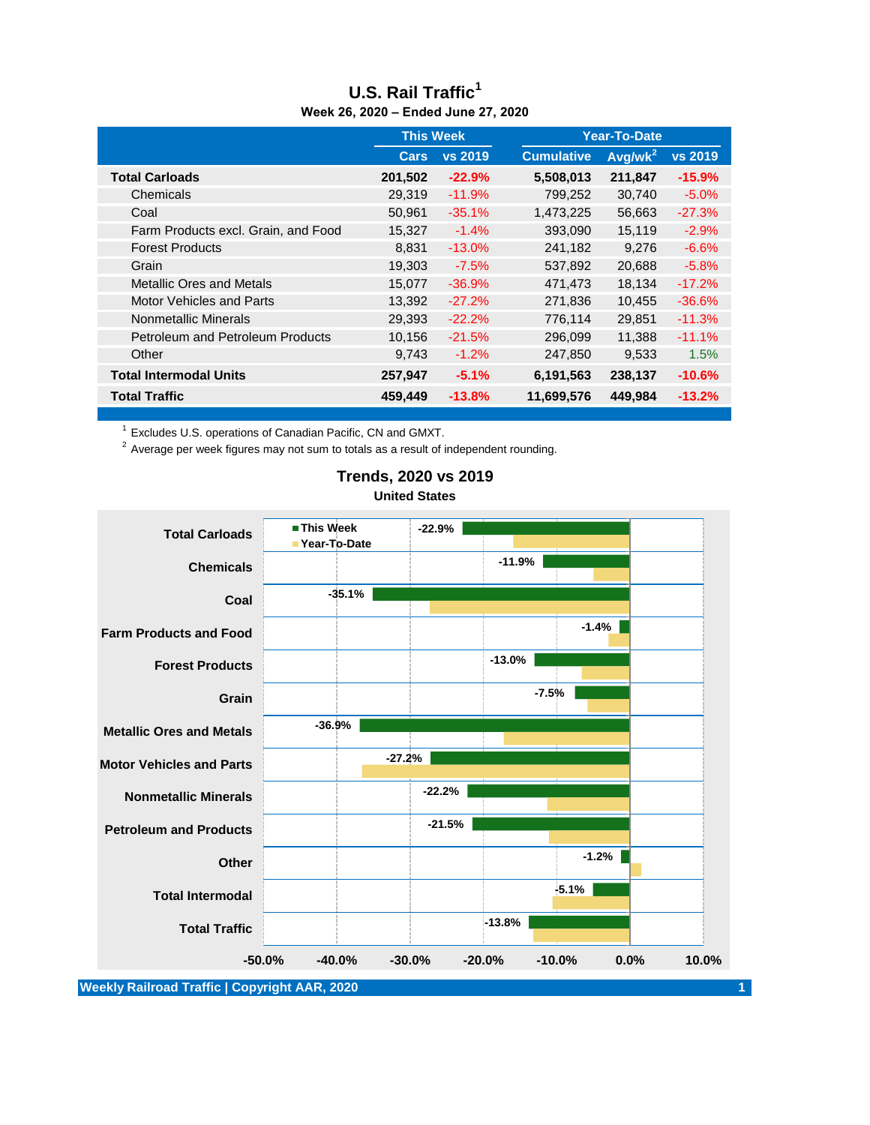| <b>THE 20. 2020 - Eliged Julie 27, 2020</b> |                  |          |                   |                     |          |  |
|---------------------------------------------|------------------|----------|-------------------|---------------------|----------|--|
|                                             | <b>This Week</b> |          |                   | <b>Year-To-Date</b> |          |  |
|                                             | Cars             | vs 2019  | <b>Cumulative</b> | Avg/wk <sup>2</sup> | vs 2019  |  |
| <b>Total Carloads</b>                       | 201,502          | $-22.9%$ | 5,508,013         | 211,847             | $-15.9%$ |  |
| Chemicals                                   | 29,319           | $-11.9%$ | 799,252           | 30,740              | $-5.0%$  |  |
| Coal                                        | 50,961           | $-35.1%$ | 1,473,225         | 56,663              | $-27.3%$ |  |
| Farm Products excl. Grain, and Food         | 15,327           | $-1.4%$  | 393,090           | 15,119              | $-2.9%$  |  |
| <b>Forest Products</b>                      | 8,831            | $-13.0%$ | 241,182           | 9,276               | $-6.6%$  |  |
| Grain                                       | 19,303           | $-7.5%$  | 537,892           | 20,688              | $-5.8%$  |  |
| <b>Metallic Ores and Metals</b>             | 15,077           | $-36.9%$ | 471,473           | 18,134              | $-17.2%$ |  |
| <b>Motor Vehicles and Parts</b>             | 13,392           | $-27.2%$ | 271,836           | 10,455              | $-36.6%$ |  |
| Nonmetallic Minerals                        | 29,393           | $-22.2%$ | 776,114           | 29,851              | $-11.3%$ |  |
| <b>Petroleum and Petroleum Products</b>     | 10,156           | $-21.5%$ | 296,099           | 11,388              | $-11.1%$ |  |
| Other                                       | 9,743            | $-1.2%$  | 247,850           | 9,533               | 1.5%     |  |
| <b>Total Intermodal Units</b>               | 257,947          | $-5.1%$  | 6,191,563         | 238,137             | $-10.6%$ |  |
| <b>Total Traffic</b>                        | 459,449          | $-13.8%$ | 11,699,576        | 449,984             | $-13.2%$ |  |

#### **U.S. Rail Traffic<sup>1</sup> Week 26, 2020 – Ended June 27, 2020**

 $1$  Excludes U.S. operations of Canadian Pacific, CN and GMXT.

<sup>2</sup> Average per week figures may not sum to totals as a result of independent rounding.



### **Trends, 2020 vs 2019 United States**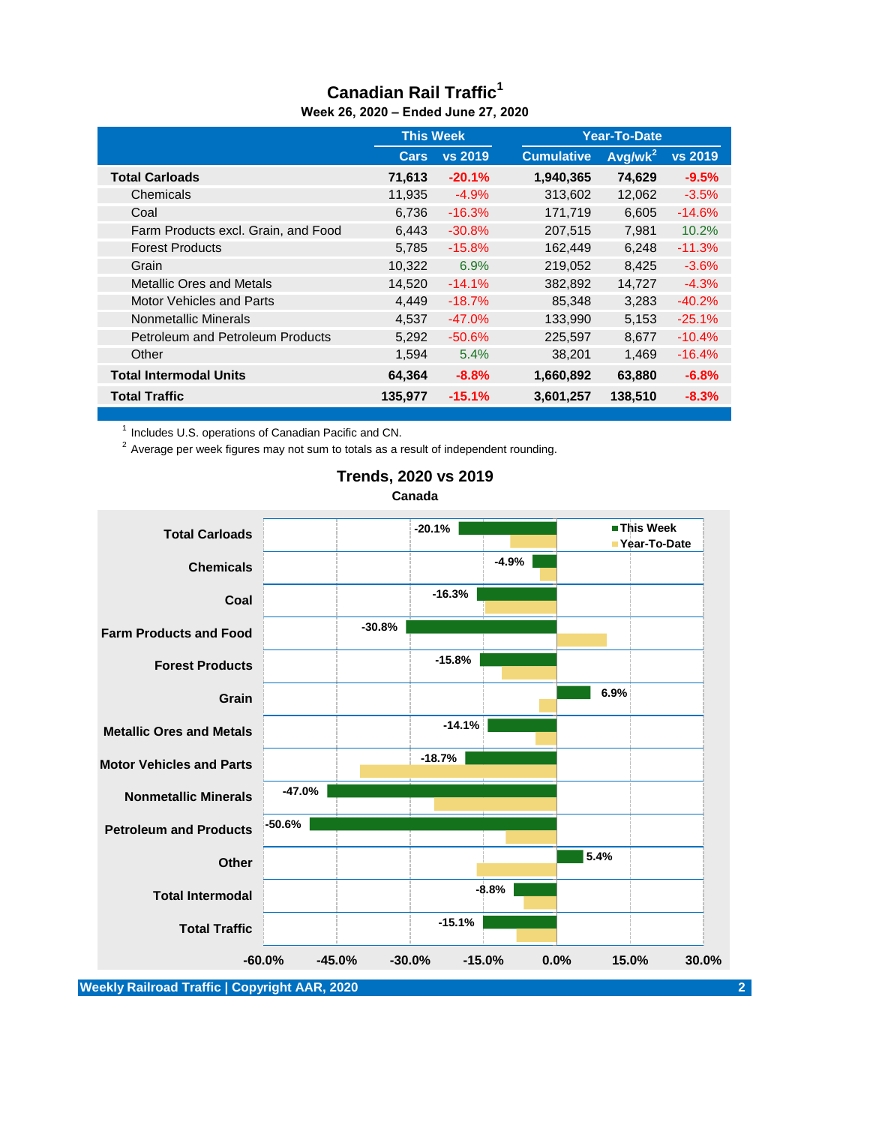#### **Canadian Rail Traffic<sup>1</sup> Week 26, 2020 – Ended June 27, 2020**

|                                     | <b>This Week</b> |                |                   | Year-To-Date |          |  |
|-------------------------------------|------------------|----------------|-------------------|--------------|----------|--|
|                                     | <b>Cars</b>      | <b>vs 2019</b> | <b>Cumulative</b> | $Avg/wk^2$   | vs 2019  |  |
| <b>Total Carloads</b>               | 71,613           | $-20.1%$       | 1,940,365         | 74,629       | $-9.5%$  |  |
| Chemicals                           | 11,935           | $-4.9%$        | 313,602           | 12,062       | $-3.5%$  |  |
| Coal                                | 6,736            | $-16.3\%$      | 171,719           | 6,605        | $-14.6%$ |  |
| Farm Products excl. Grain, and Food | 6,443            | $-30.8%$       | 207,515           | 7,981        | 10.2%    |  |
| <b>Forest Products</b>              | 5.785            | $-15.8%$       | 162,449           | 6,248        | $-11.3%$ |  |
| Grain                               | 10,322           | 6.9%           | 219,052           | 8,425        | $-3.6%$  |  |
| <b>Metallic Ores and Metals</b>     | 14.520           | $-14.1%$       | 382,892           | 14,727       | $-4.3%$  |  |
| <b>Motor Vehicles and Parts</b>     | 4,449            | $-18.7%$       | 85.348            | 3.283        | $-40.2%$ |  |
| Nonmetallic Minerals                | 4.537            | $-47.0%$       | 133,990           | 5,153        | $-25.1%$ |  |
| Petroleum and Petroleum Products    | 5,292            | $-50.6%$       | 225,597           | 8,677        | $-10.4%$ |  |
| Other                               | 1,594            | 5.4%           | 38,201            | 1.469        | $-16.4%$ |  |
| <b>Total Intermodal Units</b>       | 64,364           | $-8.8%$        | 1,660,892         | 63,880       | $-6.8\%$ |  |
| <b>Total Traffic</b>                | 135,977          | $-15.1%$       | 3,601,257         | 138,510      | $-8.3%$  |  |

<sup>1</sup> Includes U.S. operations of Canadian Pacific and CN.

<sup>2</sup> Average per week figures may not sum to totals as a result of independent rounding.



#### **Trends, 2020 vs 2019 Canada**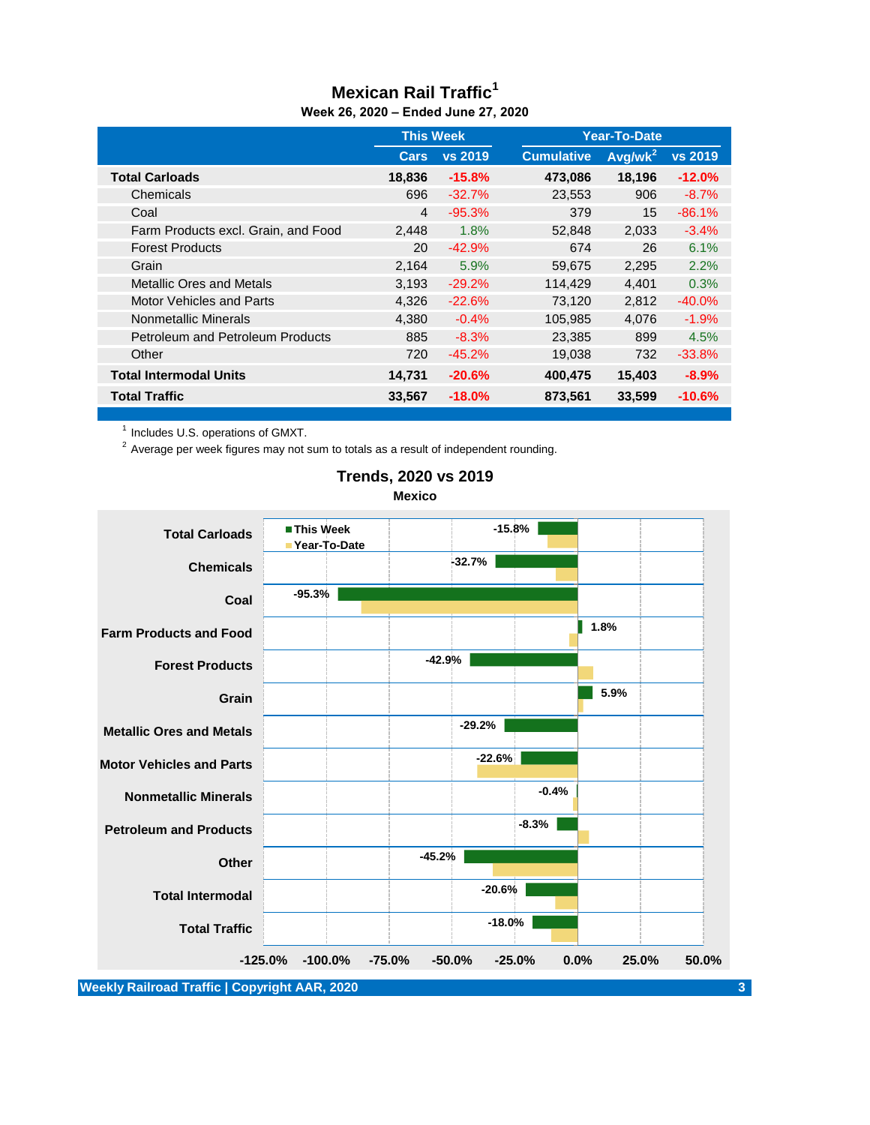#### **Mexican Rail Traffic<sup>1</sup> Week 26, 2020 – Ended June 27, 2020**

|                                         | <b>This Week</b> |           | Year-To-Date      |            |           |
|-----------------------------------------|------------------|-----------|-------------------|------------|-----------|
|                                         | Cars             | vs 2019   | <b>Cumulative</b> | $Avq/wk^2$ | vs 2019   |
| <b>Total Carloads</b>                   | 18,836           | $-15.8%$  | 473,086           | 18,196     | $-12.0%$  |
| Chemicals                               | 696              | $-32.7%$  | 23,553            | 906        | $-8.7%$   |
| Coal                                    | 4                | $-95.3%$  | 379               | 15         | $-86.1%$  |
| Farm Products excl. Grain, and Food     | 2,448            | 1.8%      | 52,848            | 2,033      | $-3.4\%$  |
| <b>Forest Products</b>                  | 20               | $-42.9%$  | 674               | 26         | 6.1%      |
| Grain                                   | 2,164            | 5.9%      | 59,675            | 2,295      | 2.2%      |
| Metallic Ores and Metals                | 3,193            | $-29.2\%$ | 114,429           | 4,401      | 0.3%      |
| <b>Motor Vehicles and Parts</b>         | 4,326            | $-22.6%$  | 73,120            | 2,812      | $-40.0%$  |
| Nonmetallic Minerals                    | 4,380            | $-0.4%$   | 105,985           | 4,076      | $-1.9\%$  |
| <b>Petroleum and Petroleum Products</b> | 885              | $-8.3%$   | 23,385            | 899        | 4.5%      |
| Other                                   | 720              | $-45.2\%$ | 19,038            | 732        | $-33.8\%$ |
| <b>Total Intermodal Units</b>           | 14,731           | $-20.6\%$ | 400,475           | 15,403     | $-8.9\%$  |
| <b>Total Traffic</b>                    | 33,567           | $-18.0%$  | 873,561           | 33,599     | $-10.6%$  |

<sup>1</sup> Includes U.S. operations of GMXT.

 $2$  Average per week figures may not sum to totals as a result of independent rounding.



#### **Trends, 2020 vs 2019 Mexico**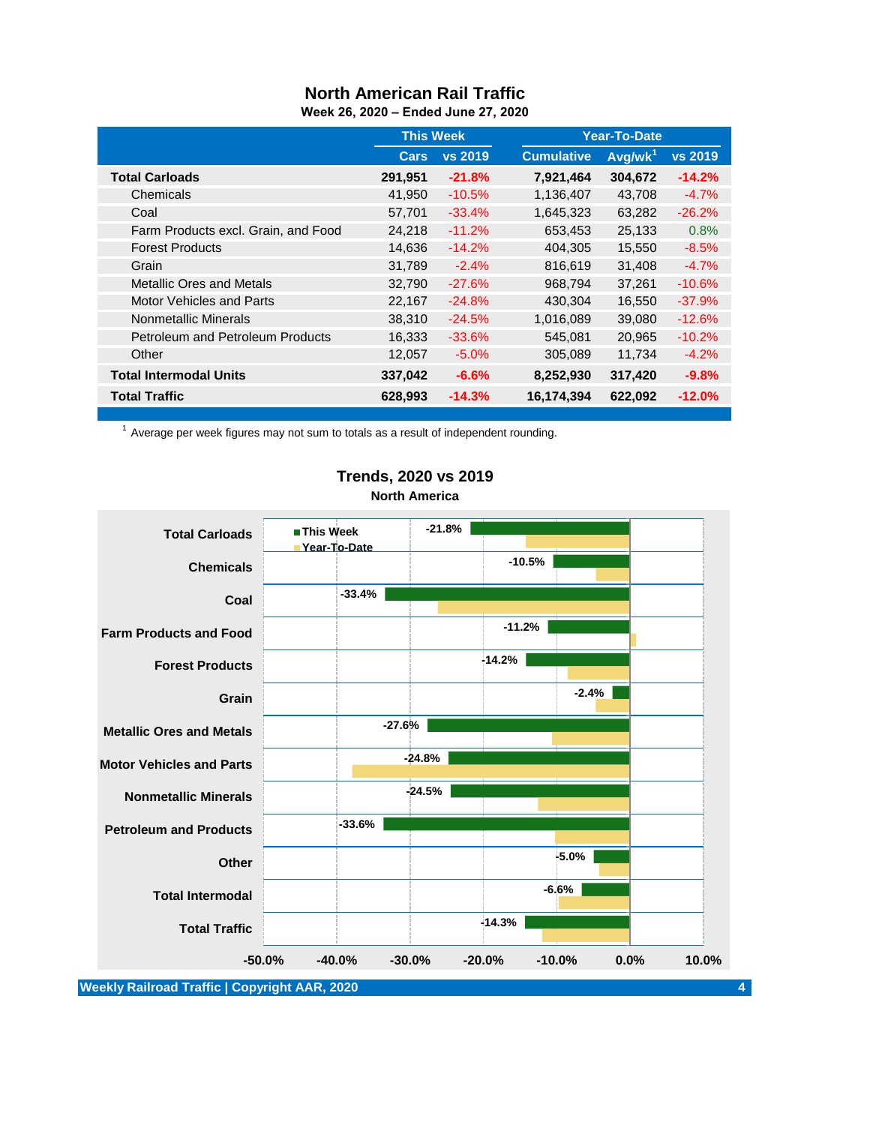# **North American Rail Traffic**

|                                         | <b>This Week</b> |           |                   | <b>Year-To-Date</b> |                |  |
|-----------------------------------------|------------------|-----------|-------------------|---------------------|----------------|--|
|                                         | <b>Cars</b>      | vs 2019   | <b>Cumulative</b> | Avg/wk <sup>1</sup> | <b>vs 2019</b> |  |
| <b>Total Carloads</b>                   | 291,951          | $-21.8%$  | 7,921,464         | 304,672             | $-14.2%$       |  |
| Chemicals                               | 41,950           | $-10.5%$  | 1,136,407         | 43,708              | $-4.7%$        |  |
| Coal                                    | 57,701           | $-33.4%$  | 1,645,323         | 63,282              | $-26.2%$       |  |
| Farm Products excl. Grain, and Food     | 24,218           | $-11.2%$  | 653,453           | 25,133              | 0.8%           |  |
| <b>Forest Products</b>                  | 14,636           | $-14.2%$  | 404,305           | 15,550              | $-8.5\%$       |  |
| Grain                                   | 31,789           | $-2.4%$   | 816,619           | 31,408              | $-4.7%$        |  |
| <b>Metallic Ores and Metals</b>         | 32,790           | $-27.6\%$ | 968,794           | 37.261              | $-10.6%$       |  |
| Motor Vehicles and Parts                | 22,167           | $-24.8%$  | 430,304           | 16,550              | $-37.9%$       |  |
| Nonmetallic Minerals                    | 38,310           | $-24.5%$  | 1,016,089         | 39,080              | $-12.6%$       |  |
| <b>Petroleum and Petroleum Products</b> | 16,333           | $-33.6%$  | 545,081           | 20,965              | $-10.2%$       |  |
| Other                                   | 12,057           | $-5.0%$   | 305,089           | 11,734              | $-4.2%$        |  |
| <b>Total Intermodal Units</b>           | 337,042          | $-6.6\%$  | 8,252,930         | 317,420             | $-9.8%$        |  |
| <b>Total Traffic</b>                    | 628,993          | $-14.3%$  | 16,174,394        | 622,092             | $-12.0%$       |  |

 $1$  Average per week figures may not sum to totals as a result of independent rounding.



## **Trends, 2020 vs 2019 North America**